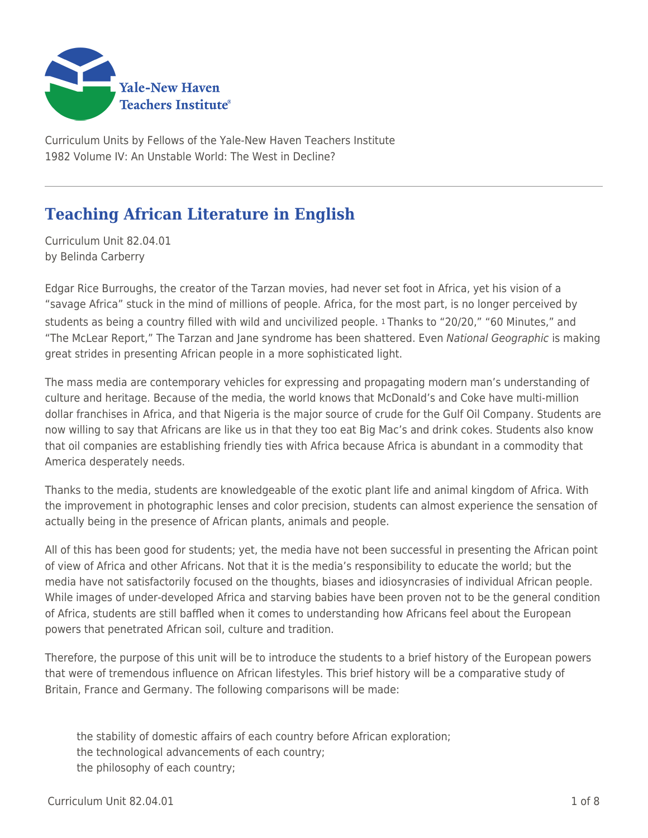

Curriculum Units by Fellows of the Yale-New Haven Teachers Institute 1982 Volume IV: An Unstable World: The West in Decline?

# **Teaching African Literature in English**

Curriculum Unit 82.04.01 by Belinda Carberry

Edgar Rice Burroughs, the creator of the Tarzan movies, had never set foot in Africa, yet his vision of a "savage Africa" stuck in the mind of millions of people. Africa, for the most part, is no longer perceived by students as being a country filled with wild and uncivilized people. 1 Thanks to "20/20," "60 Minutes," and "The McLear Report," The Tarzan and Jane syndrome has been shattered. Even National Geographic is making great strides in presenting African people in a more sophisticated light.

The mass media are contemporary vehicles for expressing and propagating modern man's understanding of culture and heritage. Because of the media, the world knows that McDonald's and Coke have multi-million dollar franchises in Africa, and that Nigeria is the major source of crude for the Gulf Oil Company. Students are now willing to say that Africans are like us in that they too eat Big Mac's and drink cokes. Students also know that oil companies are establishing friendly ties with Africa because Africa is abundant in a commodity that America desperately needs.

Thanks to the media, students are knowledgeable of the exotic plant life and animal kingdom of Africa. With the improvement in photographic lenses and color precision, students can almost experience the sensation of actually being in the presence of African plants, animals and people.

All of this has been good for students; yet, the media have not been successful in presenting the African point of view of Africa and other Africans. Not that it is the media's responsibility to educate the world; but the media have not satisfactorily focused on the thoughts, biases and idiosyncrasies of individual African people. While images of under-developed Africa and starving babies have been proven not to be the general condition of Africa, students are still baffled when it comes to understanding how Africans feel about the European powers that penetrated African soil, culture and tradition.

Therefore, the purpose of this unit will be to introduce the students to a brief history of the European powers that were of tremendous influence on African lifestyles. This brief history will be a comparative study of Britain, France and Germany. The following comparisons will be made:

the stability of domestic affairs of each country before African exploration; the technological advancements of each country; the philosophy of each country;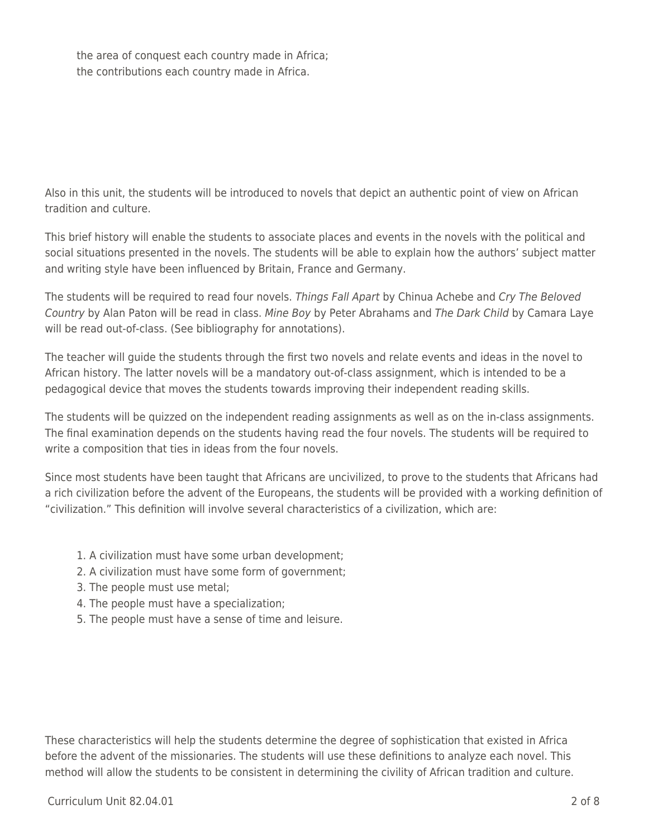the area of conquest each country made in Africa; the contributions each country made in Africa.

Also in this unit, the students will be introduced to novels that depict an authentic point of view on African tradition and culture.

This brief history will enable the students to associate places and events in the novels with the political and social situations presented in the novels. The students will be able to explain how the authors' subject matter and writing style have been influenced by Britain, France and Germany.

The students will be required to read four novels. Things Fall Apart by Chinua Achebe and Cry The Beloved Country by Alan Paton will be read in class. Mine Boy by Peter Abrahams and The Dark Child by Camara Laye will be read out-of-class. (See bibliography for annotations).

The teacher will guide the students through the first two novels and relate events and ideas in the novel to African history. The latter novels will be a mandatory out-of-class assignment, which is intended to be a pedagogical device that moves the students towards improving their independent reading skills.

The students will be quizzed on the independent reading assignments as well as on the in-class assignments. The final examination depends on the students having read the four novels. The students will be required to write a composition that ties in ideas from the four novels.

Since most students have been taught that Africans are uncivilized, to prove to the students that Africans had a rich civilization before the advent of the Europeans, the students will be provided with a working definition of "civilization." This definition will involve several characteristics of a civilization, which are:

- 1. A civilization must have some urban development;
- 2. A civilization must have some form of government;
- 3. The people must use metal;
- 4. The people must have a specialization;
- 5. The people must have a sense of time and leisure.

These characteristics will help the students determine the degree of sophistication that existed in Africa before the advent of the missionaries. The students will use these definitions to analyze each novel. This method will allow the students to be consistent in determining the civility of African tradition and culture.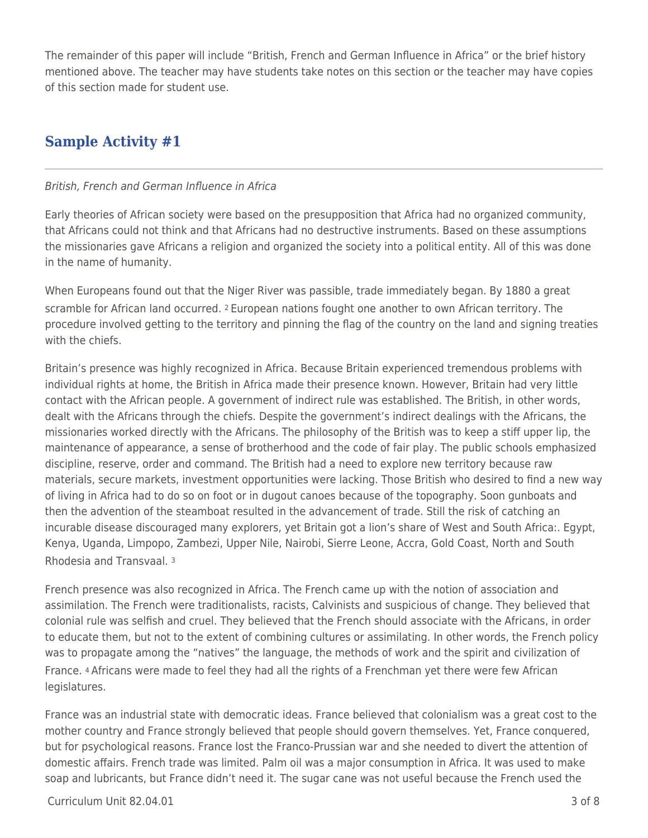The remainder of this paper will include "British, French and German Influence in Africa" or the brief history mentioned above. The teacher may have students take notes on this section or the teacher may have copies of this section made for student use.

## **Sample Activity #1**

### British, French and German Influence in Africa

Early theories of African society were based on the presupposition that Africa had no organized community, that Africans could not think and that Africans had no destructive instruments. Based on these assumptions the missionaries gave Africans a religion and organized the society into a political entity. All of this was done in the name of humanity.

When Europeans found out that the Niger River was passible, trade immediately began. By 1880 a great scramble for African land occurred. <sup>2</sup> European nations fought one another to own African territory. The procedure involved getting to the territory and pinning the flag of the country on the land and signing treaties with the chiefs.

Britain's presence was highly recognized in Africa. Because Britain experienced tremendous problems with individual rights at home, the British in Africa made their presence known. However, Britain had very little contact with the African people. A government of indirect rule was established. The British, in other words, dealt with the Africans through the chiefs. Despite the government's indirect dealings with the Africans, the missionaries worked directly with the Africans. The philosophy of the British was to keep a stiff upper lip, the maintenance of appearance, a sense of brotherhood and the code of fair play. The public schools emphasized discipline, reserve, order and command. The British had a need to explore new territory because raw materials, secure markets, investment opportunities were lacking. Those British who desired to find a new way of living in Africa had to do so on foot or in dugout canoes because of the topography. Soon gunboats and then the advention of the steamboat resulted in the advancement of trade. Still the risk of catching an incurable disease discouraged many explorers, yet Britain got a lion's share of West and South Africa:. Egypt, Kenya, Uganda, Limpopo, Zambezi, Upper Nile, Nairobi, Sierre Leone, Accra, Gold Coast, North and South Rhodesia and Transvaal. <sup>3</sup>

French presence was also recognized in Africa. The French came up with the notion of association and assimilation. The French were traditionalists, racists, Calvinists and suspicious of change. They believed that colonial rule was selfish and cruel. They believed that the French should associate with the Africans, in order to educate them, but not to the extent of combining cultures or assimilating. In other words, the French policy was to propagate among the "natives" the language, the methods of work and the spirit and civilization of France. 4 Africans were made to feel they had all the rights of a Frenchman yet there were few African legislatures.

France was an industrial state with democratic ideas. France believed that colonialism was a great cost to the mother country and France strongly believed that people should govern themselves. Yet, France conquered, but for psychological reasons. France lost the Franco-Prussian war and she needed to divert the attention of domestic affairs. French trade was limited. Palm oil was a major consumption in Africa. It was used to make soap and lubricants, but France didn't need it. The sugar cane was not useful because the French used the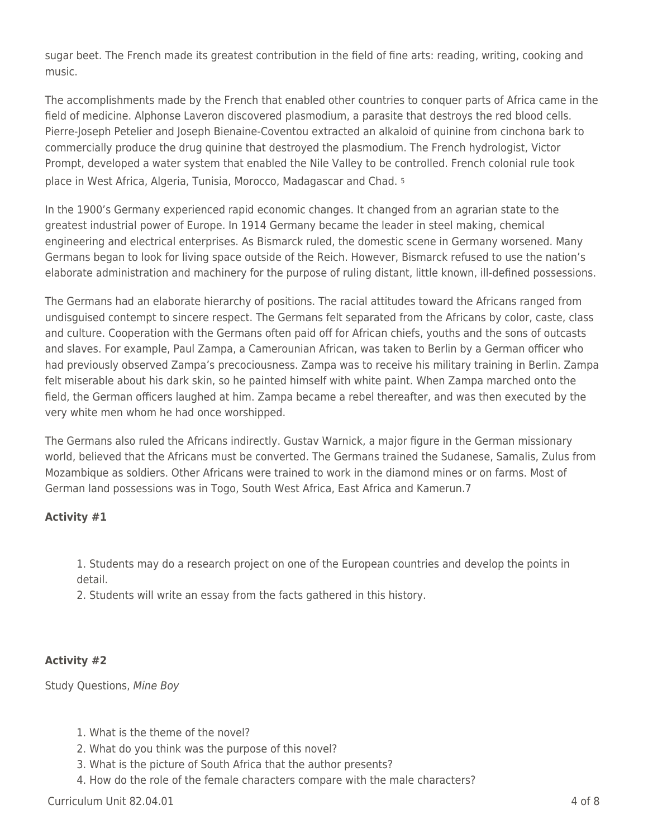sugar beet. The French made its greatest contribution in the field of fine arts: reading, writing, cooking and music.

The accomplishments made by the French that enabled other countries to conquer parts of Africa came in the field of medicine. Alphonse Laveron discovered plasmodium, a parasite that destroys the red blood cells. Pierre-Joseph Petelier and Joseph Bienaine-Coventou extracted an alkaloid of quinine from cinchona bark to commercially produce the drug quinine that destroyed the plasmodium. The French hydrologist, Victor Prompt, developed a water system that enabled the Nile Valley to be controlled. French colonial rule took place in West Africa, Algeria, Tunisia, Morocco, Madagascar and Chad. <sup>5</sup>

In the 1900's Germany experienced rapid economic changes. It changed from an agrarian state to the greatest industrial power of Europe. In 1914 Germany became the leader in steel making, chemical engineering and electrical enterprises. As Bismarck ruled, the domestic scene in Germany worsened. Many Germans began to look for living space outside of the Reich. However, Bismarck refused to use the nation's elaborate administration and machinery for the purpose of ruling distant, little known, ill-defined possessions.

The Germans had an elaborate hierarchy of positions. The racial attitudes toward the Africans ranged from undisguised contempt to sincere respect. The Germans felt separated from the Africans by color, caste, class and culture. Cooperation with the Germans often paid off for African chiefs, youths and the sons of outcasts and slaves. For example, Paul Zampa, a Camerounian African, was taken to Berlin by a German officer who had previously observed Zampa's precociousness. Zampa was to receive his military training in Berlin. Zampa felt miserable about his dark skin, so he painted himself with white paint. When Zampa marched onto the field, the German officers laughed at him. Zampa became a rebel thereafter, and was then executed by the very white men whom he had once worshipped.

The Germans also ruled the Africans indirectly. Gustav Warnick, a major figure in the German missionary world, believed that the Africans must be converted. The Germans trained the Sudanese, Samalis, Zulus from Mozambique as soldiers. Other Africans were trained to work in the diamond mines or on farms. Most of German land possessions was in Togo, South West Africa, East Africa and Kamerun.7

### **Activity #1**

1. Students may do a research project on one of the European countries and develop the points in detail.

2. Students will write an essay from the facts gathered in this history.

## **Activity #2**

Study Questions, Mine Boy

- 1. What is the theme of the novel?
- 2. What do you think was the purpose of this novel?
- 3. What is the picture of South Africa that the author presents?
- 4. How do the role of the female characters compare with the male characters?

 $Curir$  Unit 82.04.01  $\qquad$  4 of 8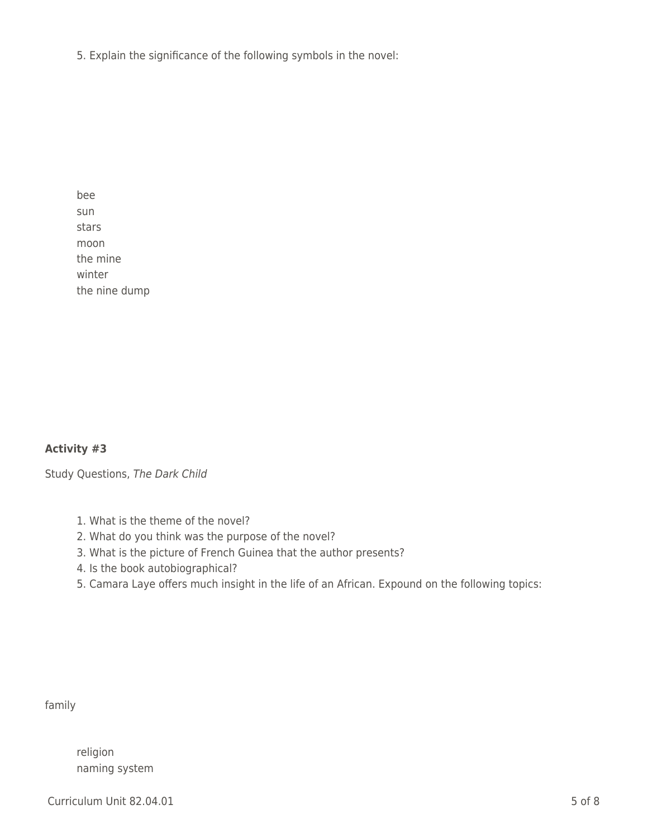5. Explain the significance of the following symbols in the novel:

bee sun stars moon the mine winter the nine dump

### **Activity #3**

Study Questions, The Dark Child

- 1. What is the theme of the novel?
- 2. What do you think was the purpose of the novel?
- 3. What is the picture of French Guinea that the author presents?
- 4. Is the book autobiographical?
- 5. Camara Laye offers much insight in the life of an African. Expound on the following topics:

family

religion naming system

Curriculum Unit 82.04.01 5 of 8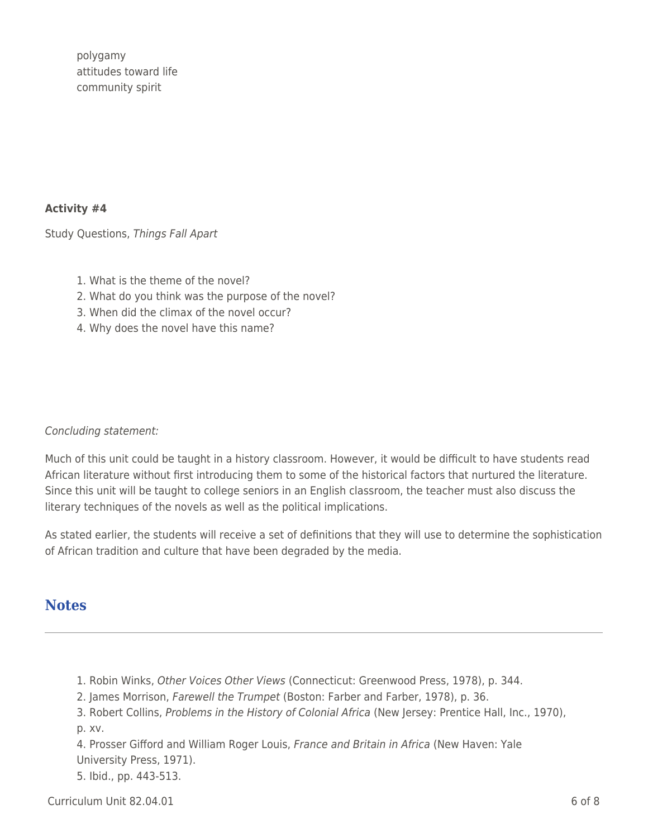polygamy attitudes toward life community spirit

#### **Activity #4**

Study Questions, Things Fall Apart

- 1. What is the theme of the novel?
- 2. What do you think was the purpose of the novel?
- 3. When did the climax of the novel occur?
- 4. Why does the novel have this name?

#### Concluding statement:

Much of this unit could be taught in a history classroom. However, it would be difficult to have students read African literature without first introducing them to some of the historical factors that nurtured the literature. Since this unit will be taught to college seniors in an English classroom, the teacher must also discuss the literary techniques of the novels as well as the political implications.

As stated earlier, the students will receive a set of definitions that they will use to determine the sophistication of African tradition and culture that have been degraded by the media.

## **Notes**

- 1. Robin Winks, Other Voices Other Views (Connecticut: Greenwood Press, 1978), p. 344.
- 2. James Morrison, Farewell the Trumpet (Boston: Farber and Farber, 1978), p. 36.
- 3. Robert Collins, Problems in the History of Colonial Africa (New Jersey: Prentice Hall, Inc., 1970), p. xv.

4. Prosser Gifford and William Roger Louis, France and Britain in Africa (New Haven: Yale University Press, 1971).

5. Ibid., pp. 443-513.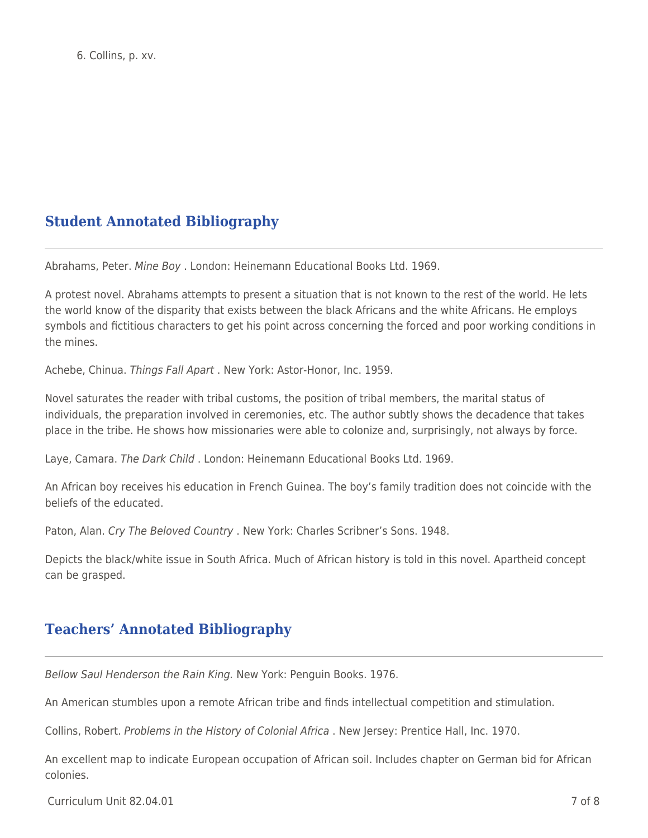## **Student Annotated Bibliography**

Abrahams, Peter. Mine Boy . London: Heinemann Educational Books Ltd. 1969.

A protest novel. Abrahams attempts to present a situation that is not known to the rest of the world. He lets the world know of the disparity that exists between the black Africans and the white Africans. He employs symbols and fictitious characters to get his point across concerning the forced and poor working conditions in the mines.

Achebe, Chinua. Things Fall Apart . New York: Astor-Honor, Inc. 1959.

Novel saturates the reader with tribal customs, the position of tribal members, the marital status of individuals, the preparation involved in ceremonies, etc. The author subtly shows the decadence that takes place in the tribe. He shows how missionaries were able to colonize and, surprisingly, not always by force.

Laye, Camara. The Dark Child . London: Heinemann Educational Books Ltd. 1969.

An African boy receives his education in French Guinea. The boy's family tradition does not coincide with the beliefs of the educated.

Paton, Alan. Cry The Beloved Country . New York: Charles Scribner's Sons. 1948.

Depicts the black/white issue in South Africa. Much of African history is told in this novel. Apartheid concept can be grasped.

## **Teachers' Annotated Bibliography**

Bellow Saul Henderson the Rain King. New York: Penguin Books. 1976.

An American stumbles upon a remote African tribe and finds intellectual competition and stimulation.

Collins, Robert. Problems in the History of Colonial Africa . New Jersey: Prentice Hall, Inc. 1970.

An excellent map to indicate European occupation of African soil. Includes chapter on German bid for African colonies.

 $C$ urriculum Unit 82.04.01  $\overline{7}$  of 8